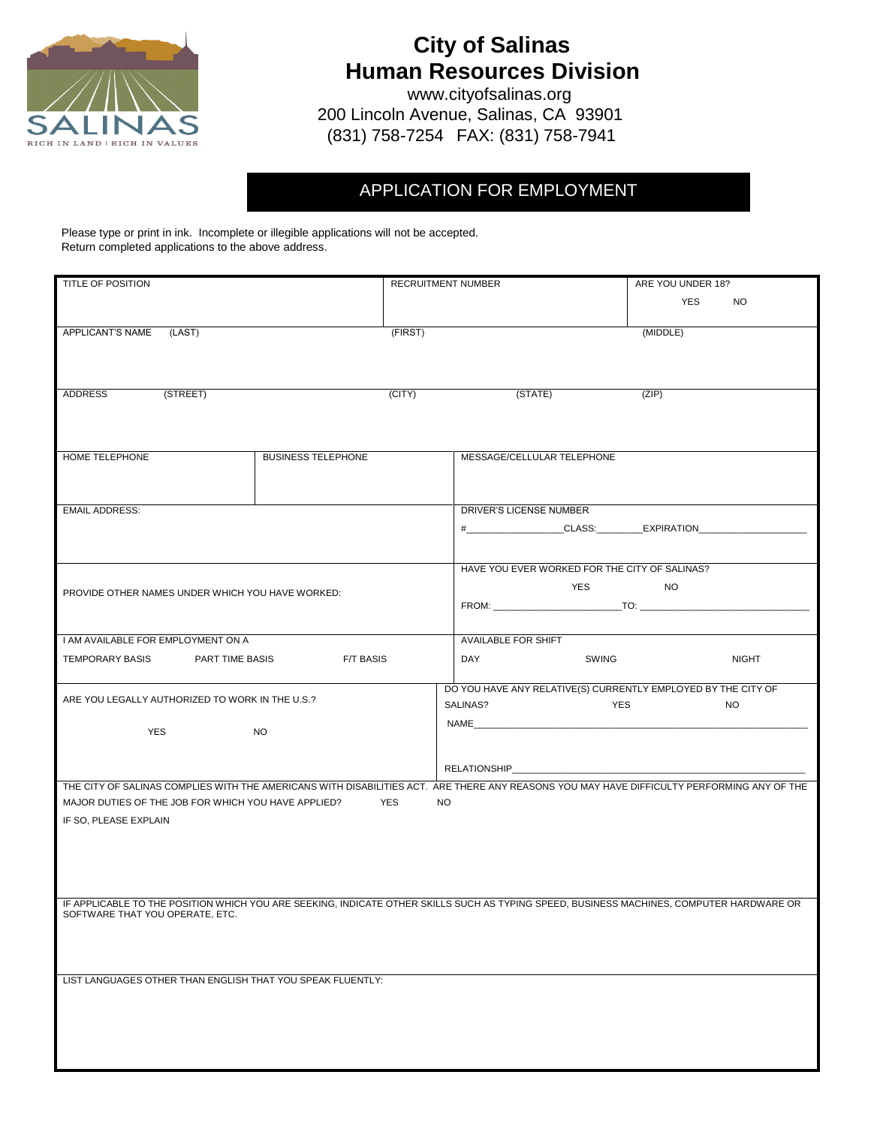

# **City of Salinas Human Resources Division**

www.cityofsalinas.org 200 Lincoln Avenue, Salinas, CA 93901 (831) 758-7254 FAX: (831) 758-7941

# APPLICATION FOR EMPLOYMENT

Please type or print in ink. Incomplete or illegible applications will not be accepted. Return completed applications to the above address.

| TITLE OF POSITION                                                                                                                                                                                     |                           | RECRUITMENT NUMBER                                                                                                                                                                                                             | ARE YOU UNDER 18? |
|-------------------------------------------------------------------------------------------------------------------------------------------------------------------------------------------------------|---------------------------|--------------------------------------------------------------------------------------------------------------------------------------------------------------------------------------------------------------------------------|-------------------|
|                                                                                                                                                                                                       |                           |                                                                                                                                                                                                                                | YES<br>NO.        |
| APPLICANT'S NAME (LAST)                                                                                                                                                                               | (FIRST)                   |                                                                                                                                                                                                                                | (MIDDLE)          |
|                                                                                                                                                                                                       |                           |                                                                                                                                                                                                                                |                   |
|                                                                                                                                                                                                       |                           |                                                                                                                                                                                                                                |                   |
| (STREET)<br>ADDRESS                                                                                                                                                                                   | (CITY)                    | (STATE)                                                                                                                                                                                                                        | (ZIP)             |
|                                                                                                                                                                                                       |                           |                                                                                                                                                                                                                                |                   |
|                                                                                                                                                                                                       |                           |                                                                                                                                                                                                                                |                   |
| HOME TELEPHONE                                                                                                                                                                                        | <b>BUSINESS TELEPHONE</b> | MESSAGE/CELLULAR TELEPHONE                                                                                                                                                                                                     |                   |
|                                                                                                                                                                                                       |                           |                                                                                                                                                                                                                                |                   |
| <b>EMAIL ADDRESS:</b>                                                                                                                                                                                 |                           | DRIVER'S LICENSE NUMBER                                                                                                                                                                                                        |                   |
|                                                                                                                                                                                                       |                           | #_____________________CLASS:___________EXPIRATION__________                                                                                                                                                                    |                   |
|                                                                                                                                                                                                       |                           |                                                                                                                                                                                                                                |                   |
|                                                                                                                                                                                                       |                           | HAVE YOU EVER WORKED FOR THE CITY OF SALINAS?                                                                                                                                                                                  |                   |
| PROVIDE OTHER NAMES UNDER WHICH YOU HAVE WORKED:                                                                                                                                                      |                           | YES NO                                                                                                                                                                                                                         |                   |
|                                                                                                                                                                                                       |                           |                                                                                                                                                                                                                                |                   |
|                                                                                                                                                                                                       |                           |                                                                                                                                                                                                                                |                   |
| I AM AVAILABLE FOR EMPLOYMENT ON A                                                                                                                                                                    |                           | <b>AVAILABLE FOR SHIFT</b>                                                                                                                                                                                                     |                   |
| TEMPORARY BASIS PART TIME BASIS                                                                                                                                                                       | <b>F/T BASIS</b>          | <b>SWING</b><br>DAY                                                                                                                                                                                                            | <b>NIGHT</b>      |
| ARE YOU LEGALLY AUTHORIZED TO WORK IN THE U.S.?                                                                                                                                                       |                           | DO YOU HAVE ANY RELATIVE(S) CURRENTLY EMPLOYED BY THE CITY OF                                                                                                                                                                  |                   |
|                                                                                                                                                                                                       |                           | SALINAS?<br>YES                                                                                                                                                                                                                | <b>NO</b>         |
| YES                                                                                                                                                                                                   | NO.                       | NAME And the state of the state of the state of the state of the state of the state of the state of the state of the state of the state of the state of the state of the state of the state of the state of the state of the s |                   |
|                                                                                                                                                                                                       |                           |                                                                                                                                                                                                                                |                   |
|                                                                                                                                                                                                       |                           | RELATIONSHIP_____________                                                                                                                                                                                                      |                   |
| THE CITY OF SALINAS COMPLIES WITH THE AMERICANS WITH DISABILITIES ACT. ARE THERE ANY REASONS YOU MAY HAVE DIFFICULTY PERFORMING ANY OF THE<br>MAJOR DUTIES OF THE JOB FOR WHICH YOU HAVE APPLIED? YES |                           | <b>NO</b>                                                                                                                                                                                                                      |                   |
| IF SO, PLEASE EXPLAIN                                                                                                                                                                                 |                           |                                                                                                                                                                                                                                |                   |
|                                                                                                                                                                                                       |                           |                                                                                                                                                                                                                                |                   |
|                                                                                                                                                                                                       |                           |                                                                                                                                                                                                                                |                   |
|                                                                                                                                                                                                       |                           |                                                                                                                                                                                                                                |                   |
| IF APPLICABLE TO THE POSITION WHICH YOU ARE SEEKING, INDICATE OTHER SKILLS SUCH AS TYPING SPEED, BUSINESS MACHINES, COMPUTER HARDWARE OR                                                              |                           |                                                                                                                                                                                                                                |                   |
| SOFTWARE THAT YOU OPERATE, ETC.                                                                                                                                                                       |                           |                                                                                                                                                                                                                                |                   |
|                                                                                                                                                                                                       |                           |                                                                                                                                                                                                                                |                   |
|                                                                                                                                                                                                       |                           |                                                                                                                                                                                                                                |                   |
| LIST LANGUAGES OTHER THAN ENGLISH THAT YOU SPEAK FLUENTLY:                                                                                                                                            |                           |                                                                                                                                                                                                                                |                   |
|                                                                                                                                                                                                       |                           |                                                                                                                                                                                                                                |                   |
|                                                                                                                                                                                                       |                           |                                                                                                                                                                                                                                |                   |
|                                                                                                                                                                                                       |                           |                                                                                                                                                                                                                                |                   |
|                                                                                                                                                                                                       |                           |                                                                                                                                                                                                                                |                   |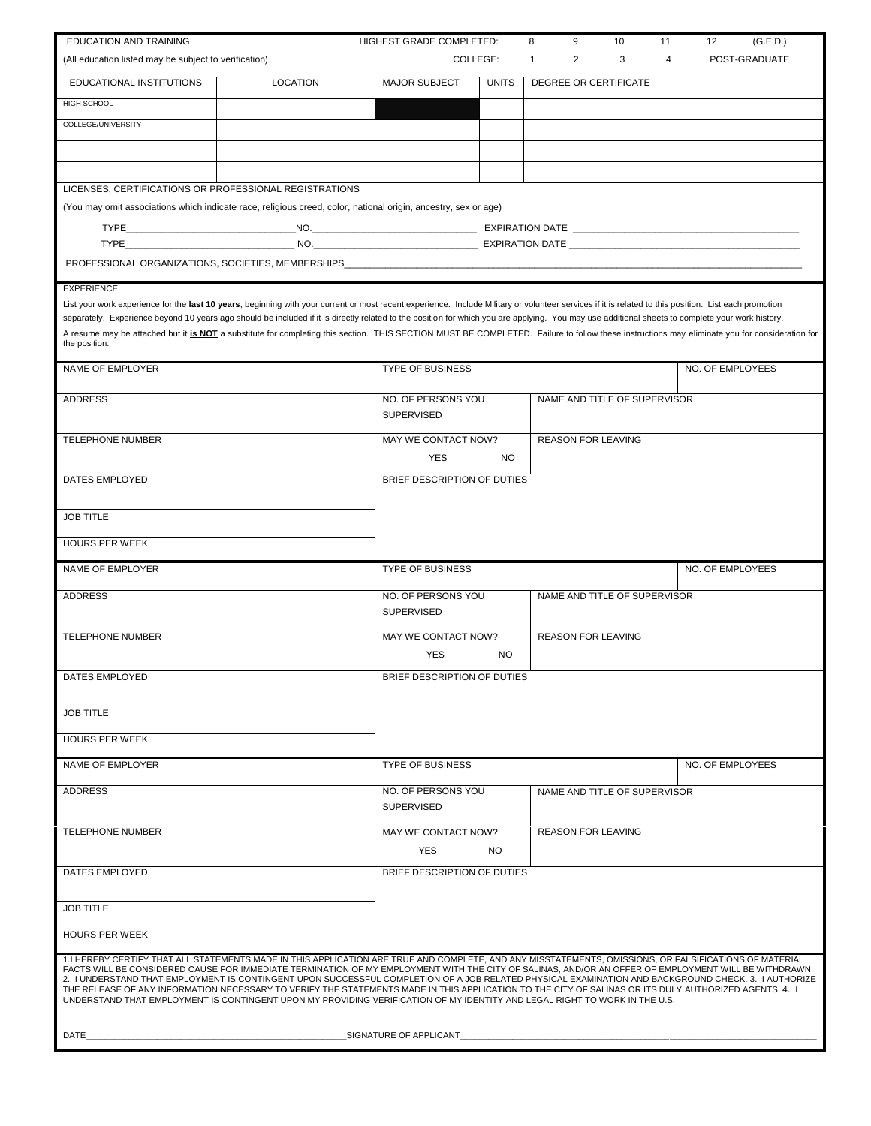| <b>EDUCATION AND TRAINING</b>                                                                                                                                                                                                                                                                                                                                                                     |          | HIGHEST GRADE COMPLETED:          |              | 8 | 9                         | 10                           | 11 | 12<br>(G.E.D.)   |
|---------------------------------------------------------------------------------------------------------------------------------------------------------------------------------------------------------------------------------------------------------------------------------------------------------------------------------------------------------------------------------------------------|----------|-----------------------------------|--------------|---|---------------------------|------------------------------|----|------------------|
| (All education listed may be subject to verification)                                                                                                                                                                                                                                                                                                                                             |          |                                   | COLLEGE:     | 1 | 2                         | 3                            | 4  | POST-GRADUATE    |
| EDUCATIONAL INSTITUTIONS                                                                                                                                                                                                                                                                                                                                                                          | LOCATION | <b>MAJOR SUBJECT</b>              | <b>UNITS</b> |   |                           | DEGREE OR CERTIFICATE        |    |                  |
| <b>HIGH SCHOOL</b>                                                                                                                                                                                                                                                                                                                                                                                |          |                                   |              |   |                           |                              |    |                  |
| COLLEGE/UNIVERSITY                                                                                                                                                                                                                                                                                                                                                                                |          |                                   |              |   |                           |                              |    |                  |
|                                                                                                                                                                                                                                                                                                                                                                                                   |          |                                   |              |   |                           |                              |    |                  |
|                                                                                                                                                                                                                                                                                                                                                                                                   |          |                                   |              |   |                           |                              |    |                  |
| LICENSES, CERTIFICATIONS OR PROFESSIONAL REGISTRATIONS                                                                                                                                                                                                                                                                                                                                            |          |                                   |              |   |                           |                              |    |                  |
| (You may omit associations which indicate race, religious creed, color, national origin, ancestry, sex or age)                                                                                                                                                                                                                                                                                    |          |                                   |              |   |                           |                              |    |                  |
|                                                                                                                                                                                                                                                                                                                                                                                                   |          |                                   |              |   |                           |                              |    |                  |
|                                                                                                                                                                                                                                                                                                                                                                                                   |          |                                   |              |   |                           |                              |    |                  |
|                                                                                                                                                                                                                                                                                                                                                                                                   |          |                                   |              |   |                           |                              |    |                  |
| <b>EXPERIENCE</b>                                                                                                                                                                                                                                                                                                                                                                                 |          |                                   |              |   |                           |                              |    |                  |
| List your work experience for the last 10 years, beginning with your current or most recent experience. Include Military or volunteer services if it is related to this position. List each promotion                                                                                                                                                                                             |          |                                   |              |   |                           |                              |    |                  |
| separately. Experience beyond 10 years ago should be included if it is directly related to the position for which you are applying. You may use additional sheets to complete your work history.<br>A resume may be attached but it is NOT a substitute for completing this section. THIS SECTION MUST BE COMPLETED. Failure to follow these instructions may eliminate you for consideration for |          |                                   |              |   |                           |                              |    |                  |
| the position.                                                                                                                                                                                                                                                                                                                                                                                     |          |                                   |              |   |                           |                              |    |                  |
| NAME OF EMPLOYER                                                                                                                                                                                                                                                                                                                                                                                  |          | <b>TYPE OF BUSINESS</b>           |              |   |                           |                              |    | NO. OF EMPLOYEES |
|                                                                                                                                                                                                                                                                                                                                                                                                   |          |                                   |              |   |                           |                              |    |                  |
| <b>ADDRESS</b>                                                                                                                                                                                                                                                                                                                                                                                    |          | NO. OF PERSONS YOU                |              |   |                           | NAME AND TITLE OF SUPERVISOR |    |                  |
|                                                                                                                                                                                                                                                                                                                                                                                                   |          | SUPERVISED                        |              |   |                           |                              |    |                  |
| <b>TELEPHONE NUMBER</b>                                                                                                                                                                                                                                                                                                                                                                           |          | MAY WE CONTACT NOW?               |              |   | REASON FOR LEAVING        |                              |    |                  |
|                                                                                                                                                                                                                                                                                                                                                                                                   |          | <b>YES</b>                        | <b>NO</b>    |   |                           |                              |    |                  |
| DATES EMPLOYED                                                                                                                                                                                                                                                                                                                                                                                    |          | BRIEF DESCRIPTION OF DUTIES       |              |   |                           |                              |    |                  |
|                                                                                                                                                                                                                                                                                                                                                                                                   |          |                                   |              |   |                           |                              |    |                  |
| <b>JOB TITLE</b>                                                                                                                                                                                                                                                                                                                                                                                  |          |                                   |              |   |                           |                              |    |                  |
| <b>HOURS PER WEEK</b>                                                                                                                                                                                                                                                                                                                                                                             |          |                                   |              |   |                           |                              |    |                  |
| NAME OF EMPLOYER                                                                                                                                                                                                                                                                                                                                                                                  |          | <b>TYPE OF BUSINESS</b>           |              |   |                           |                              |    | NO. OF EMPLOYEES |
|                                                                                                                                                                                                                                                                                                                                                                                                   |          |                                   |              |   |                           |                              |    |                  |
| <b>ADDRESS</b>                                                                                                                                                                                                                                                                                                                                                                                    |          | NO. OF PERSONS YOU<br>SUPERVISED  |              |   |                           | NAME AND TITLE OF SUPERVISOR |    |                  |
|                                                                                                                                                                                                                                                                                                                                                                                                   |          |                                   |              |   |                           |                              |    |                  |
| <b>TELEPHONE NUMBER</b>                                                                                                                                                                                                                                                                                                                                                                           |          | MAY WE CONTACT NOW?               |              |   | <b>REASON FOR LEAVING</b> |                              |    |                  |
|                                                                                                                                                                                                                                                                                                                                                                                                   |          | <b>YES</b>                        | <b>NO</b>    |   |                           |                              |    |                  |
| DATES EMPLOYED                                                                                                                                                                                                                                                                                                                                                                                    |          | BRIEF DESCRIPTION OF DUTIES       |              |   |                           |                              |    |                  |
|                                                                                                                                                                                                                                                                                                                                                                                                   |          |                                   |              |   |                           |                              |    |                  |
| <b>JOB TITLE</b>                                                                                                                                                                                                                                                                                                                                                                                  |          |                                   |              |   |                           |                              |    |                  |
| <b>HOURS PER WEEK</b>                                                                                                                                                                                                                                                                                                                                                                             |          |                                   |              |   |                           |                              |    |                  |
| NAME OF EMPLOYER                                                                                                                                                                                                                                                                                                                                                                                  |          | <b>TYPE OF BUSINESS</b>           |              |   |                           |                              |    | NO. OF EMPLOYEES |
| <b>ADDRESS</b>                                                                                                                                                                                                                                                                                                                                                                                    |          | NO. OF PERSONS YOU                |              |   |                           | NAME AND TITLE OF SUPERVISOR |    |                  |
|                                                                                                                                                                                                                                                                                                                                                                                                   |          | <b>SUPERVISED</b>                 |              |   |                           |                              |    |                  |
|                                                                                                                                                                                                                                                                                                                                                                                                   |          |                                   |              |   |                           | <b>REASON FOR LEAVING</b>    |    |                  |
| <b>TELEPHONE NUMBER</b>                                                                                                                                                                                                                                                                                                                                                                           |          | MAY WE CONTACT NOW?<br><b>YES</b> | NO.          |   |                           |                              |    |                  |
|                                                                                                                                                                                                                                                                                                                                                                                                   |          |                                   |              |   |                           |                              |    |                  |
| DATES EMPLOYED                                                                                                                                                                                                                                                                                                                                                                                    |          | BRIEF DESCRIPTION OF DUTIES       |              |   |                           |                              |    |                  |
| <b>JOB TITLE</b>                                                                                                                                                                                                                                                                                                                                                                                  |          |                                   |              |   |                           |                              |    |                  |
|                                                                                                                                                                                                                                                                                                                                                                                                   |          |                                   |              |   |                           |                              |    |                  |
| <b>HOURS PER WEEK</b>                                                                                                                                                                                                                                                                                                                                                                             |          |                                   |              |   |                           |                              |    |                  |
| 1.I HEREBY CERTIFY THAT ALL STATEMENTS MADE IN THIS APPLICATION ARE TRUE AND COMPLETE, AND ANY MISSTATEMENTS, OMISSIONS, OR FALSIFICATIONS OF MATERIAL                                                                                                                                                                                                                                            |          |                                   |              |   |                           |                              |    |                  |
| FACTS WILL BE CONSIDERED CAUSE FOR IMMEDIATE TERMINATION OF MY EMPLOYMENT WITH THE CITY OF SALINAS, AND/OR AN OFFER OF EMPLOYMENT WILL BE WITHDRAWN.<br>2. I UNDERSTAND THAT EMPLOYMENT IS CONTINGENT UPON SUCCESSFUL COMPLETION OF A JOB RELATED PHYSICAL EXAMINATION AND BACKGROUND CHECK. 3. I AUTHORIZE                                                                                       |          |                                   |              |   |                           |                              |    |                  |
| THE RELEASE OF ANY INFORMATION NECESSARY TO VERIFY THE STATEMENTS MADE IN THIS APPLICATION TO THE CITY OF SALINAS OR ITS DULY AUTHORIZED AGENTS. 4. I<br>UNDERSTAND THAT EMPLOYMENT IS CONTINGENT UPON MY PROVIDING VERIFICATION OF MY IDENTITY AND LEGAL RIGHT TO WORK IN THE U.S.                                                                                                               |          |                                   |              |   |                           |                              |    |                  |
|                                                                                                                                                                                                                                                                                                                                                                                                   |          |                                   |              |   |                           |                              |    |                  |
| DATE                                                                                                                                                                                                                                                                                                                                                                                              |          | SIGNATURE OF APPLICANT            |              |   |                           |                              |    |                  |